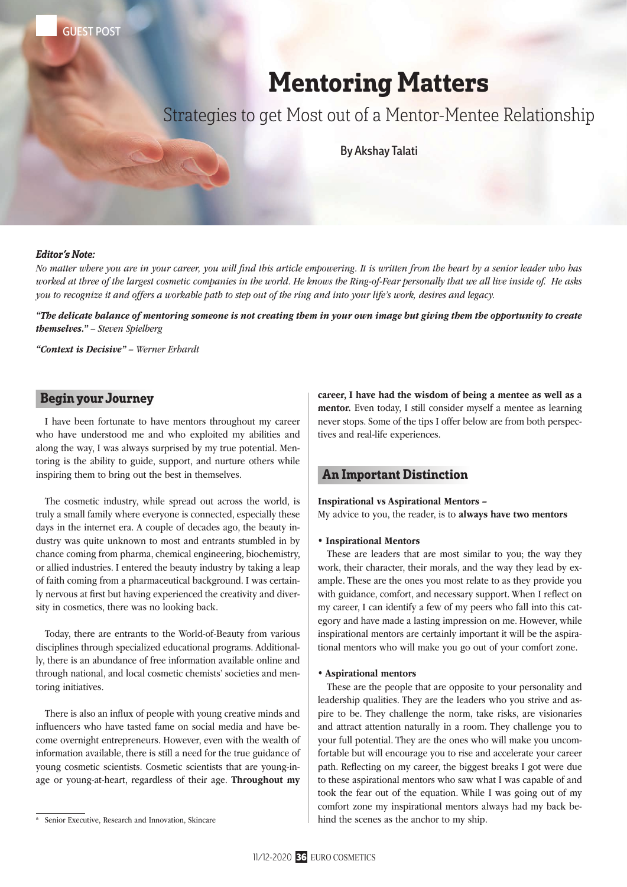GUEST POST

# Mentoring Matters

Strategies to get Most out of a Mentor-Mentee Relationship

By Akshay Talati

### Editor's Note:

*No matter where you are in your career, you will find this article empowering. It is written from the heart by a senior leader who has worked at three of the largest cosmetic companies in the world. He knows the Ring-of-Fear personally that we all live inside of. He asks you to recognize it and offers a workable path to step out of the ring and into your life's work, desires and legacy.* 

*"The delicate balance of mentoring someone is not creating them in your own image but giving them the opportunity to create themselves." – Steven Spielberg*

*"Context is Decisive" – Werner Erhardt*

# Begin your Journey

I have been fortunate to have mentors throughout my career who have understood me and who exploited my abilities and along the way, I was always surprised by my true potential. Mentoring is the ability to guide, support, and nurture others while inspiring them to bring out the best in themselves.

The cosmetic industry, while spread out across the world, is truly a small family where everyone is connected, especially these days in the internet era. A couple of decades ago, the beauty industry was quite unknown to most and entrants stumbled in by chance coming from pharma, chemical engineering, biochemistry, or allied industries. I entered the beauty industry by taking a leap of faith coming from a pharmaceutical background. I was certainly nervous at first but having experienced the creativity and diversity in cosmetics, there was no looking back.

Today, there are entrants to the World-of-Beauty from various disciplines through specialized educational programs. Additionally, there is an abundance of free information available online and through national, and local cosmetic chemists' societies and mentoring initiatives.

There is also an influx of people with young creative minds and influencers who have tasted fame on social media and have become overnight entrepreneurs. However, even with the wealth of information available, there is still a need for the true guidance of young cosmetic scientists. Cosmetic scientists that are young-inage or young-at-heart, regardless of their age. Throughout my

career, I have had the wisdom of being a mentee as well as a mentor. Even today, I still consider myself a mentee as learning never stops. Some of the tips I offer below are from both perspectives and real-life experiences.

# An Important Distinction

#### Inspirational vs Aspirational Mentors –

My advice to you, the reader, is to always have two mentors

#### • Inspirational Mentors

These are leaders that are most similar to you; the way they work, their character, their morals, and the way they lead by example. These are the ones you most relate to as they provide you with guidance, comfort, and necessary support. When I reflect on my career, I can identify a few of my peers who fall into this category and have made a lasting impression on me. However, while inspirational mentors are certainly important it will be the aspirational mentors who will make you go out of your comfort zone.

#### • Aspirational mentors

These are the people that are opposite to your personality and leadership qualities. They are the leaders who you strive and aspire to be. They challenge the norm, take risks, are visionaries and attract attention naturally in a room. They challenge you to your full potential. They are the ones who will make you uncomfortable but will encourage you to rise and accelerate your career path. Reflecting on my career, the biggest breaks I got were due to these aspirational mentors who saw what I was capable of and took the fear out of the equation. While I was going out of my comfort zone my inspirational mentors always had my back behind the scenes as the anchor to my ship.

Senior Executive, Research and Innovation, Skincare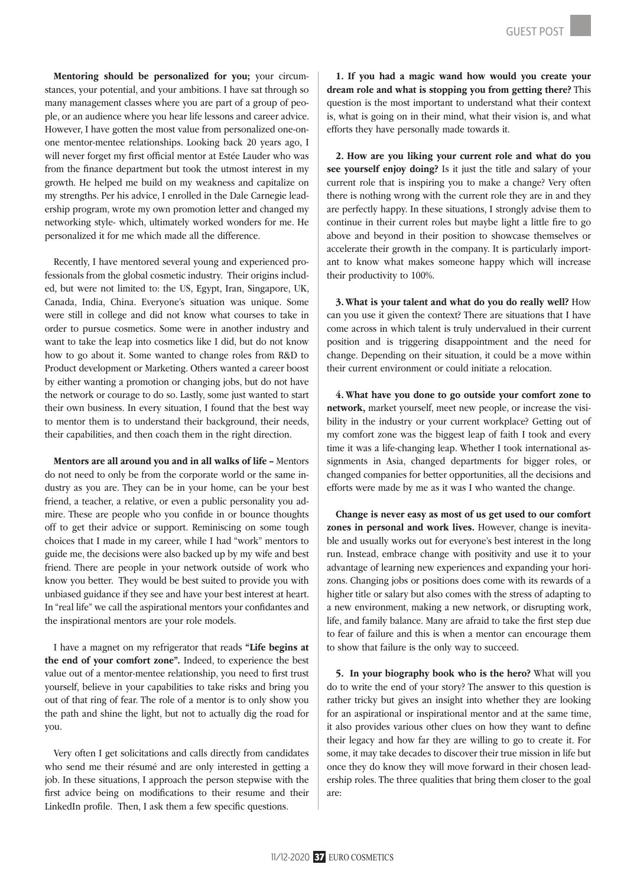Mentoring should be personalized for you; your circumstances, your potential, and your ambitions. I have sat through so many management classes where you are part of a group of people, or an audience where you hear life lessons and career advice. However, I have gotten the most value from personalized one-onone mentor-mentee relationships. Looking back 20 years ago, I will never forget my first official mentor at Estée Lauder who was from the finance department but took the utmost interest in my growth. He helped me build on my weakness and capitalize on my strengths. Per his advice, I enrolled in the Dale Carnegie leadership program, wrote my own promotion letter and changed my networking style- which, ultimately worked wonders for me. He personalized it for me which made all the difference.

Recently, I have mentored several young and experienced professionals from the global cosmetic industry. Their origins included, but were not limited to: the US, Egypt, Iran, Singapore, UK, Canada, India, China. Everyone's situation was unique. Some were still in college and did not know what courses to take in order to pursue cosmetics. Some were in another industry and want to take the leap into cosmetics like I did, but do not know how to go about it. Some wanted to change roles from R&D to Product development or Marketing. Others wanted a career boost by either wanting a promotion or changing jobs, but do not have the network or courage to do so. Lastly, some just wanted to start their own business. In every situation, I found that the best way to mentor them is to understand their background, their needs, their capabilities, and then coach them in the right direction.

Mentors are all around you and in all walks of life – Mentors do not need to only be from the corporate world or the same industry as you are. They can be in your home, can be your best friend, a teacher, a relative, or even a public personality you admire. These are people who you confide in or bounce thoughts off to get their advice or support. Reminiscing on some tough choices that I made in my career, while I had "work" mentors to guide me, the decisions were also backed up by my wife and best friend. There are people in your network outside of work who know you better. They would be best suited to provide you with unbiased guidance if they see and have your best interest at heart. In "real life" we call the aspirational mentors your confidantes and the inspirational mentors are your role models.

I have a magnet on my refrigerator that reads "Life begins at the end of your comfort zone". Indeed, to experience the best value out of a mentor-mentee relationship, you need to first trust yourself, believe in your capabilities to take risks and bring you out of that ring of fear. The role of a mentor is to only show you the path and shine the light, but not to actually dig the road for you.

Very often I get solicitations and calls directly from candidates who send me their résumé and are only interested in getting a job. In these situations, I approach the person stepwise with the first advice being on modifications to their resume and their LinkedIn profile. Then, I ask them a few specific questions.

1. If you had a magic wand how would you create your dream role and what is stopping you from getting there? This question is the most important to understand what their context is, what is going on in their mind, what their vision is, and what efforts they have personally made towards it.

2. How are you liking your current role and what do you see yourself enjoy doing? Is it just the title and salary of your current role that is inspiring you to make a change? Very often there is nothing wrong with the current role they are in and they are perfectly happy. In these situations, I strongly advise them to continue in their current roles but maybe light a little fire to go above and beyond in their position to showcase themselves or accelerate their growth in the company. It is particularly important to know what makes someone happy which will increase their productivity to 100%.

3. What is your talent and what do you do really well? How can you use it given the context? There are situations that I have come across in which talent is truly undervalued in their current position and is triggering disappointment and the need for change. Depending on their situation, it could be a move within their current environment or could initiate a relocation.

4. What have you done to go outside your comfort zone to network, market yourself, meet new people, or increase the visibility in the industry or your current workplace? Getting out of my comfort zone was the biggest leap of faith I took and every time it was a life-changing leap. Whether I took international assignments in Asia, changed departments for bigger roles, or changed companies for better opportunities, all the decisions and efforts were made by me as it was I who wanted the change.

Change is never easy as most of us get used to our comfort zones in personal and work lives. However, change is inevitable and usually works out for everyone's best interest in the long run. Instead, embrace change with positivity and use it to your advantage of learning new experiences and expanding your horizons. Changing jobs or positions does come with its rewards of a higher title or salary but also comes with the stress of adapting to a new environment, making a new network, or disrupting work, life, and family balance. Many are afraid to take the first step due to fear of failure and this is when a mentor can encourage them to show that failure is the only way to succeed.

5. In your biography book who is the hero? What will you do to write the end of your story? The answer to this question is rather tricky but gives an insight into whether they are looking for an aspirational or inspirational mentor and at the same time, it also provides various other clues on how they want to define their legacy and how far they are willing to go to create it. For some, it may take decades to discover their true mission in life but once they do know they will move forward in their chosen leadership roles. The three qualities that bring them closer to the goal are: